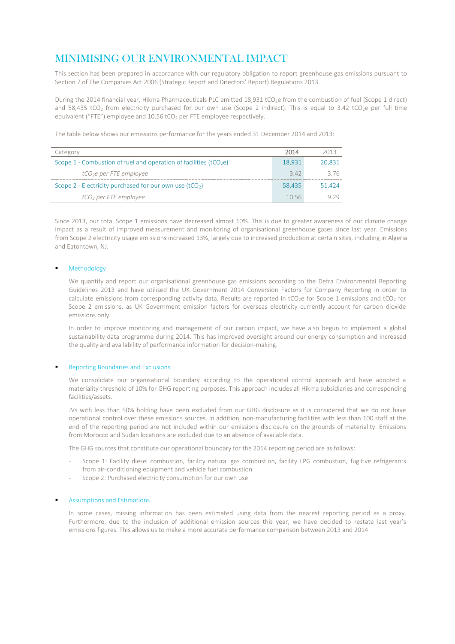# MINIMISING OUR ENVIRONMENTAL IMPACT

This section has been prepared in accordance with our regulatory obligation to report greenhouse gas emissions pursuant to Section 7 of The Companies Act 2006 (Strategic Report and Directors' Report) Regulations 2013.

During the 2014 financial year, Hikma Pharmaceuticals PLC emitted 18,931 tCO<sub>2</sub>e from the combustion of fuel (Scope 1 direct) and 58,435 tCO<sub>2</sub> from electricity purchased for our own use (Scope 2 indirect). This is equal to 3.42 tCO<sub>2</sub>e per full time equivalent ("FTE") employee and 10.56 tCO<sub>2</sub> per FTE employee respectively.

The table below shows our emissions performance for the years ended 31 December 2014 and 2013:

| Category                                                             | 2014   | 2013   |
|----------------------------------------------------------------------|--------|--------|
| Scope 1 - Combustion of fuel and operation of facilities ( $tCO2e$ ) | 18.931 | 20.831 |
| tCO <sub>2</sub> e per FTE employee                                  | 3.42   | 376    |
| Scope 2 - Electricity purchased for our own use $(tCO2)$             | 58.435 | 51.424 |
| tCO <sub>2</sub> per FTE employee                                    | 10.56  | 979    |

Since 2013, our total Scope 1 emissions have decreased almost 10%. This is due to greater awareness of our climate change impact as a result of improved measurement and monitoring of organisational greenhouse gases since last year. Emissions from Scope 2 electricity usage emissions increased 13%, largely due to increased production at certain sites, including in Algeria and Eatontown, NJ.

### Methodology

We quantify and report our organisational greenhouse gas emissions according to the Defra Environmental Reporting Guidelines 2013 and have utilised the UK Government 2014 Conversion Factors for Company Reporting in order to calculate emissions from corresponding activity data. Results are reported in tCO<sub>2</sub>e for Scope 1 emissions and tCO<sub>2</sub> for Scope 2 emissions, as UK Government emission factors for overseas electricity currently account for carbon dioxide emissions only.

In order to improve monitoring and management of our carbon impact, we have also begun to implement a global sustainability data programme during 2014. This has improved oversight around our energy consumption and increased the quality and availability of performance information for decision-making.

#### Reporting Boundaries and Exclusions

We consolidate our organisational boundary according to the operational control approach and have adopted a materiality threshold of 10% for GHG reporting purposes. This approach includes all Hikma subsidiaries and corresponding facilities/assets.

JVs with less than 50% holding have been excluded from our GHG disclosure as it is considered that we do not have operational control over these emissions sources. In addition, non-manufacturing facilities with less than 100 staff at the end of the reporting period are not included within our emissions disclosure on the grounds of materiality. Emissions from Morocco and Sudan locations are excluded due to an absence of available data.

The GHG sources that constitute our operational boundary for the 2014 reporting period are as follows:

- Scope 1: Facility diesel combustion, facility natural gas combustion, facility LPG combustion, fugitive refrigerants from air-conditioning equipment and vehicle fuel combustion
- Scope 2: Purchased electricity consumption for our own use

#### Assumptions and Estimations

In some cases, missing information has been estimated using data from the nearest reporting period as a proxy. Furthermore, due to the inclusion of additional emission sources this year, we have decided to restate last year's emissions figures. This allows us to make a more accurate performance comparison between 2013 and 2014.